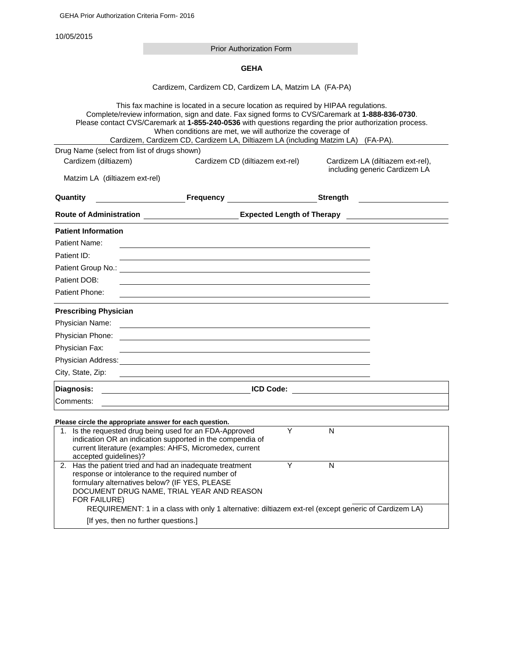10/05/2015

Prior Authorization Form

**GEHA**

Cardizem, Cardizem CD, Cardizem LA, Matzim LA (FA-PA)

| This fax machine is located in a secure location as required by HIPAA regulations.<br>Complete/review information, sign and date. Fax signed forms to CVS/Caremark at 1-888-836-0730.<br>Please contact CVS/Caremark at 1-855-240-0536 with questions regarding the prior authorization process.<br>When conditions are met, we will authorize the coverage of<br>Cardizem, Cardizem CD, Cardizem LA, Diltiazem LA (including Matzim LA) (FA-PA). |                                                                                                                                                                                                                                                         |                                 |                          |                                  |  |  |
|---------------------------------------------------------------------------------------------------------------------------------------------------------------------------------------------------------------------------------------------------------------------------------------------------------------------------------------------------------------------------------------------------------------------------------------------------|---------------------------------------------------------------------------------------------------------------------------------------------------------------------------------------------------------------------------------------------------------|---------------------------------|--------------------------|----------------------------------|--|--|
|                                                                                                                                                                                                                                                                                                                                                                                                                                                   | Drug Name (select from list of drugs shown)                                                                                                                                                                                                             |                                 |                          |                                  |  |  |
| Cardizem (diltiazem)                                                                                                                                                                                                                                                                                                                                                                                                                              |                                                                                                                                                                                                                                                         | Cardizem CD (diltiazem ext-rel) |                          | Cardizem LA (diltiazem ext-rel), |  |  |
| Matzim LA (diltiazem ext-rel)                                                                                                                                                                                                                                                                                                                                                                                                                     |                                                                                                                                                                                                                                                         |                                 |                          | including generic Cardizem LA    |  |  |
| Quantity                                                                                                                                                                                                                                                                                                                                                                                                                                          | <b>Example 20 Frequency CONSUMPTER 20 FREQUENCY</b>                                                                                                                                                                                                     |                                 | <b>Strength Strength</b> |                                  |  |  |
| Route of Administration ______________________________Expected Length of Therapy ___________________                                                                                                                                                                                                                                                                                                                                              |                                                                                                                                                                                                                                                         |                                 |                          |                                  |  |  |
| <b>Patient Information</b>                                                                                                                                                                                                                                                                                                                                                                                                                        |                                                                                                                                                                                                                                                         |                                 |                          |                                  |  |  |
| Patient Name:                                                                                                                                                                                                                                                                                                                                                                                                                                     |                                                                                                                                                                                                                                                         |                                 |                          |                                  |  |  |
| Patient ID:                                                                                                                                                                                                                                                                                                                                                                                                                                       |                                                                                                                                                                                                                                                         |                                 |                          |                                  |  |  |
|                                                                                                                                                                                                                                                                                                                                                                                                                                                   |                                                                                                                                                                                                                                                         |                                 |                          |                                  |  |  |
| Patient DOB:                                                                                                                                                                                                                                                                                                                                                                                                                                      |                                                                                                                                                                                                                                                         |                                 |                          |                                  |  |  |
| Patient Phone:                                                                                                                                                                                                                                                                                                                                                                                                                                    |                                                                                                                                                                                                                                                         |                                 |                          |                                  |  |  |
| <b>Prescribing Physician</b>                                                                                                                                                                                                                                                                                                                                                                                                                      |                                                                                                                                                                                                                                                         |                                 |                          |                                  |  |  |
| Physician Name:                                                                                                                                                                                                                                                                                                                                                                                                                                   |                                                                                                                                                                                                                                                         |                                 |                          |                                  |  |  |
| Physician Phone:<br><u> 1980 - Jan Samuel Barbara, margaret eta idazlea (h. 1980).</u>                                                                                                                                                                                                                                                                                                                                                            |                                                                                                                                                                                                                                                         |                                 |                          |                                  |  |  |
| Physician Fax:                                                                                                                                                                                                                                                                                                                                                                                                                                    |                                                                                                                                                                                                                                                         |                                 |                          |                                  |  |  |
|                                                                                                                                                                                                                                                                                                                                                                                                                                                   |                                                                                                                                                                                                                                                         |                                 |                          |                                  |  |  |
| City, State, Zip:                                                                                                                                                                                                                                                                                                                                                                                                                                 | and the control of the control of the control of the control of the control of the control of the control of the                                                                                                                                        |                                 |                          |                                  |  |  |
| Diagnosis:                                                                                                                                                                                                                                                                                                                                                                                                                                        | <b>EXECUTIVE ICD Code:</b> <u>And ICD Code: And ICD Code: And ICD Code: And ICD Code: And ICD Code: And ICD Code: And ICD Code: And ICD Code: And ICD Code: And ICD Code: And ICD Code: And ICD Code: And ICD Code: And ICD Code: And</u>               |                                 |                          |                                  |  |  |
| Comments:                                                                                                                                                                                                                                                                                                                                                                                                                                         |                                                                                                                                                                                                                                                         |                                 |                          |                                  |  |  |
|                                                                                                                                                                                                                                                                                                                                                                                                                                                   | Please circle the appropriate answer for each question.                                                                                                                                                                                                 |                                 |                          |                                  |  |  |
|                                                                                                                                                                                                                                                                                                                                                                                                                                                   | 1. Is the requested drug being used for an FDA-Approved<br>indication OR an indication supported in the compendia of<br>current literature (examples: AHFS, Micromedex, current                                                                         | Y                               | $\mathsf{N}$             |                                  |  |  |
| accepted guidelines)?                                                                                                                                                                                                                                                                                                                                                                                                                             | 2. Has the patient tried and had an inadequate treatment                                                                                                                                                                                                | Y                               | N                        |                                  |  |  |
| FOR FAILURE)                                                                                                                                                                                                                                                                                                                                                                                                                                      | response or intolerance to the required number of<br>formulary alternatives below? (IF YES, PLEASE<br>DOCUMENT DRUG NAME, TRIAL YEAR AND REASON<br>REQUIREMENT: 1 in a class with only 1 alternative: diltiazem ext-rel (except generic of Cardizem LA) |                                 |                          |                                  |  |  |
|                                                                                                                                                                                                                                                                                                                                                                                                                                                   | [If yes, then no further questions.]                                                                                                                                                                                                                    |                                 |                          |                                  |  |  |